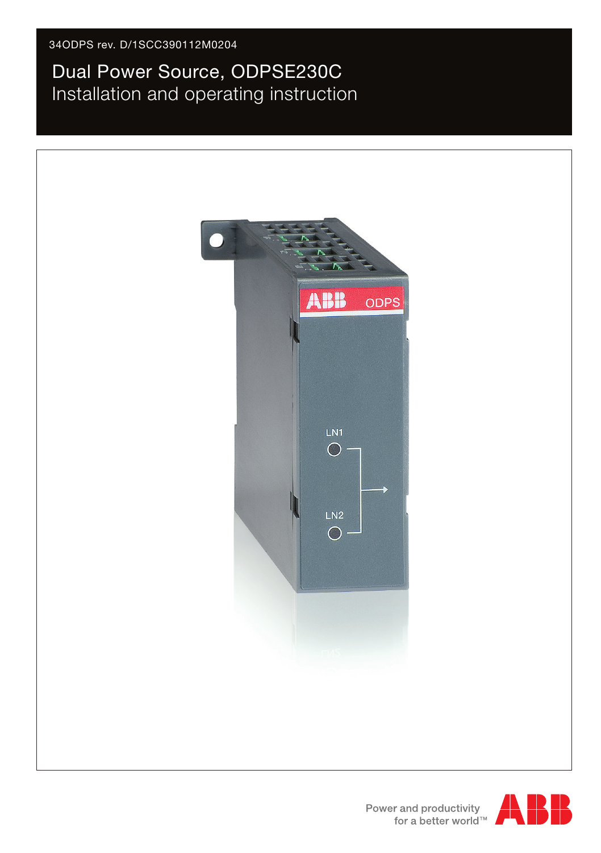# Dual Power Source, ODPSE230C Installation and operating instruction





Power and productivity<br>for a better world<sup>™</sup>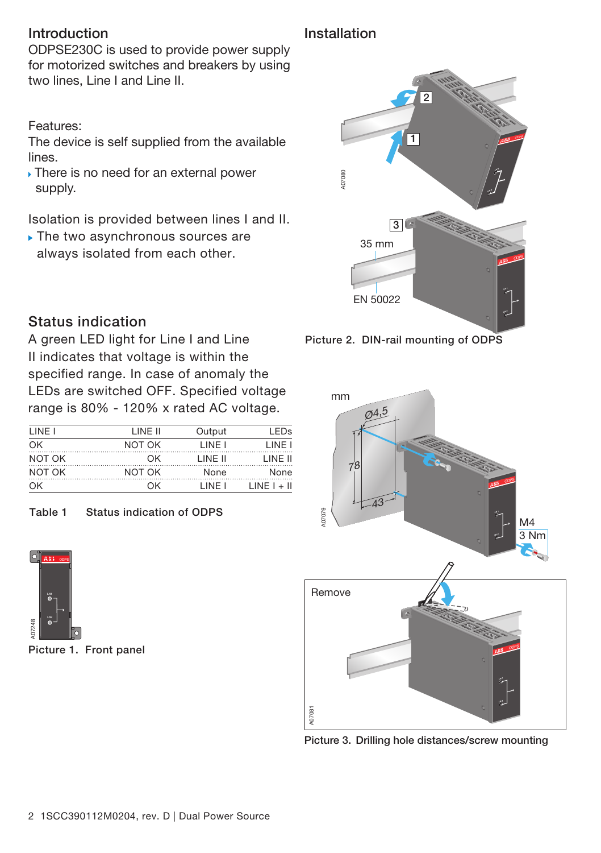### Introduction

ODPSE230C is used to provide power supply for motorized switches and breakers by using two lines, Line I and Line II.

Features:

The device is self supplied from the available lines.

 There is no need for an external power supply.

Isolation is provided between lines I and II.

The two asynchronous sources are 2 always isolated from each other.

## Installation



Picture 2. DIN-rail mounting of ODPS



Picture 3. Drilling hole distances/screw mounting

# Status indication

A green LED light for Line I and Line II indicates that voltage is within the specified range. In case of anomaly the LEDs are switched OFF. Specified voltage range is 80% - 120% x rated AC voltage.

| LINE I | I INF II | Output   | I FDs         |
|--------|----------|----------|---------------|
| OK     | NOT OK   | I INF I  | LINE I        |
| NOT OK | ΩK       | I INF II | LINE II       |
| NOT OK | NOT OK   | None     | None          |
| OK     | nκ       | I INF I  | $LINE I + II$ |

### Table 1 Status indication of ODPS



Picture 1. Front panel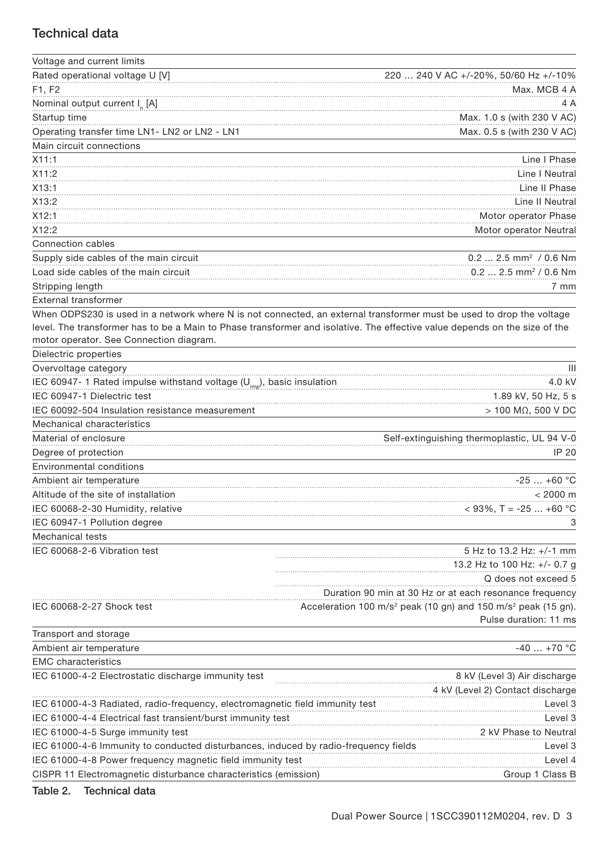#### Technical data

| Voltage and current limits                                                          |                                                                                                                            |
|-------------------------------------------------------------------------------------|----------------------------------------------------------------------------------------------------------------------------|
| Rated operational voltage U [V]                                                     | 240 V AC +/-20%, 50/60 Hz +/-10%<br>220                                                                                    |
| F1, F2                                                                              | Max. MCB 4 A                                                                                                               |
| Nominal output current I <sub>n</sub> [A]                                           | 4 A                                                                                                                        |
| Startup time                                                                        | Max. 1.0 s (with 230 V AC)                                                                                                 |
| Operating transfer time LN1- LN2 or LN2 - LN1                                       | Max. 0.5 s (with 230 V AC)                                                                                                 |
| Main circuit connections                                                            |                                                                                                                            |
| X11:1                                                                               | Line I Phase                                                                                                               |
| X11:2                                                                               | Line   Neutral                                                                                                             |
| X13:1                                                                               | Line II Phase                                                                                                              |
| X13:2                                                                               | Line II Neutral                                                                                                            |
| X12:1                                                                               | Motor operator Phase                                                                                                       |
| X12:2                                                                               | Motor operator Neutral                                                                                                     |
| Connection cables                                                                   |                                                                                                                            |
| Supply side cables of the main circuit                                              | 0.2  2.5 mm <sup>2</sup> / 0.6 Nm                                                                                          |
| Load side cables of the main circuit                                                | $0.2$ 2.5 mm <sup>2</sup> / 0.6 Nm                                                                                         |
| Stripping length                                                                    | 7 mm                                                                                                                       |
| <b>External transformer</b>                                                         |                                                                                                                            |
|                                                                                     | When ODPS230 is used in a network where N is not connected, an external transformer must be used to drop the voltage       |
|                                                                                     | level. The transformer has to be a Main to Phase transformer and isolative. The effective value depends on the size of the |
| motor operator. See Connection diagram.                                             |                                                                                                                            |
| Dielectric properties                                                               |                                                                                                                            |
| Overvoltage category                                                                | $\mathbf{III}$                                                                                                             |
| IEC 60947- 1 Rated impulse withstand voltage $(U_{\text{im}})$ , basic insulation   | 4.0 kV                                                                                                                     |
| IEC 60947-1 Dielectric test                                                         | 1.89 kV, 50 Hz, 5 s                                                                                                        |
| IEC 60092-504 Insulation resistance measurement                                     | $> 100$ M $\Omega$ , 500 V DC                                                                                              |
| Mechanical characteristics                                                          |                                                                                                                            |
| Material of enclosure                                                               | Self-extinguishing thermoplastic, UL 94 V-0                                                                                |
| Degree of protection                                                                | IP 20                                                                                                                      |
| Environmental conditions                                                            |                                                                                                                            |
| Ambient air temperature                                                             | $-25+60$ °C                                                                                                                |
| Altitude of the site of installation                                                | $< 2000 \text{ m}$                                                                                                         |
| IEC 60068-2-30 Humidity, relative                                                   | $<$ 93%, T = -25  +60 °C                                                                                                   |
| IEC 60947-1 Pollution degree                                                        | 3                                                                                                                          |
| Mechanical tests                                                                    |                                                                                                                            |
| IEC 60068-2-6 Vibration test                                                        | 5 Hz to 13.2 Hz: +/-1 mm                                                                                                   |
|                                                                                     | 13.2 Hz to 100 Hz: +/- 0.7 g                                                                                               |
|                                                                                     | Q does not exceed 5                                                                                                        |
|                                                                                     | Duration 90 min at 30 Hz or at each resonance frequency                                                                    |
| IEC 60068-2-27 Shock test                                                           | Acceleration 100 m/s <sup>2</sup> peak (10 gn) and 150 m/s <sup>2</sup> peak (15 gn).                                      |
|                                                                                     | Pulse duration: 11 ms                                                                                                      |
| Transport and storage                                                               |                                                                                                                            |
| Ambient air temperature                                                             | $-40+70$ °C                                                                                                                |
| <b>EMC</b> characteristics                                                          |                                                                                                                            |
| IEC 61000-4-2 Electrostatic discharge immunity test                                 | 8 kV (Level 3) Air discharge                                                                                               |
|                                                                                     | 4 kV (Level 2) Contact discharge                                                                                           |
| IEC 61000-4-3 Radiated, radio-frequency, electromagnetic field immunity             | Level 3                                                                                                                    |
| IEC 61000-4-4 Electrical fast transient/burst immunity test                         | Level 3                                                                                                                    |
| IEC 61000-4-5 Surge immunity test                                                   | 2 kV Phase to Neutral                                                                                                      |
| IEC 61000-4-6 Immunity to conducted disturbances, induced by radio-frequency fields | Level <sub>3</sub>                                                                                                         |
| IEC 61000-4-8 Power frequency magnetic field immunity test                          | Level 4                                                                                                                    |
| CISPR 11 Electromagnetic disturbance characteristics (emission)                     | Group 1 Class B                                                                                                            |

#### Table 2. Technical data